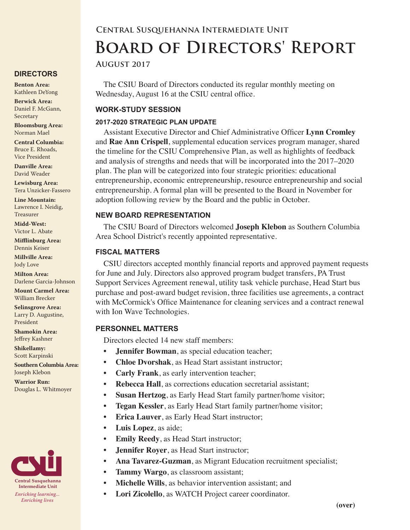#### **DIRECTORS**

**Benton Area:** Kathleen DeYong

**Berwick Area:** Daniel F. McGann, Secretary

**Bloomsburg Area:**  Norman Mael

**Central Columbia:** Bruce E. Rhoads, Vice President

**Danville Area:** David Weader

**Lewisburg Area:** Tera Unzicker-Fassero

**Line Mountain:** Lawrence I. Neidig, Treasurer

**Midd-West:**  Victor L. Abate

**Mifflinburg Area:** Dennis Keiser

**Millville Area:** Jody Love

**Milton Area:** Darlene Garcia-Johnson

**Mount Carmel Area:**  William Brecker

**Selinsgrove Area:**  Larry D. Augustine, President

**Shamokin Area:** Jeffrey Kashner

**Shikellamy:**  Scott Karpinski

**Southern Columbia Area:** Joseph Klebon

**Warrior Run:** Douglas L. Whitmoyer



# **Board of Directors' Report**

**Central Susquehanna Intermediate Unit**

**August 2017**

The CSIU Board of Directors conducted its regular monthly meeting on Wednesday, August 16 at the CSIU central office.

### **WORK-STUDY SESSION**

## **2017-2020 STRATEGIC PLAN UPDATE**

Assistant Executive Director and Chief Administrative Officer **Lynn Cromley** and **Rae Ann Crispell**, supplemental education services program manager, shared the timeline for the CSIU Comprehensive Plan, as well as highlights of feedback and analysis of strengths and needs that will be incorporated into the 2017–2020 plan. The plan will be categorized into four strategic priorities: educational entrepreneurship, economic entrepreneurship, resource entrepreneurship and social entrepreneurship. A formal plan will be presented to the Board in November for adoption following review by the Board and the public in October.

#### **NEW BOARD REPRESENTATION**

The CSIU Board of Directors welcomed **Joseph Klebon** as Southern Columbia Area School District's recently appointed representative.

## **FISCAL MATTERS**

CSIU directors accepted monthly financial reports and approved payment requests for June and July. Directors also approved program budget transfers, PA Trust Support Services Agreement renewal, utility task vehicle purchase, Head Start bus purchase and post-award budget revision, three facilities use agreements, a contract with McCormick's Office Maintenance for cleaning services and a contract renewal with Ion Wave Technologies.

## **PERSONNEL MATTERS**

Directors elected 14 new staff members:

- **• Jennifer Bowman**, as special education teacher;
- **• Chloe Dvorshak**, as Head Start assistant instructor;
- **• Carly Frank**, as early intervention teacher;
- **• Rebecca Hall**, as corrections education secretarial assistant;
- **• Susan Hertzog**, as Early Head Start family partner/home visitor;
- **• Tegan Kessler**, as Early Head Start family partner/home visitor;
- **• Erica Lauver**, as Early Head Start instructor;
- **• Luis Lopez**, as aide;
- **• Emily Reedy**, as Head Start instructor;
- **• Jennifer Royer**, as Head Start instructor;
- **• Ana Tavarez-Guzman**, as Migrant Education recruitment specialist;
- **• Tammy Wargo**, as classroom assistant;
- **• Michelle Wills**, as behavior intervention assistant; and
- **• Lori Zicolello**, as WATCH Project career coordinator.